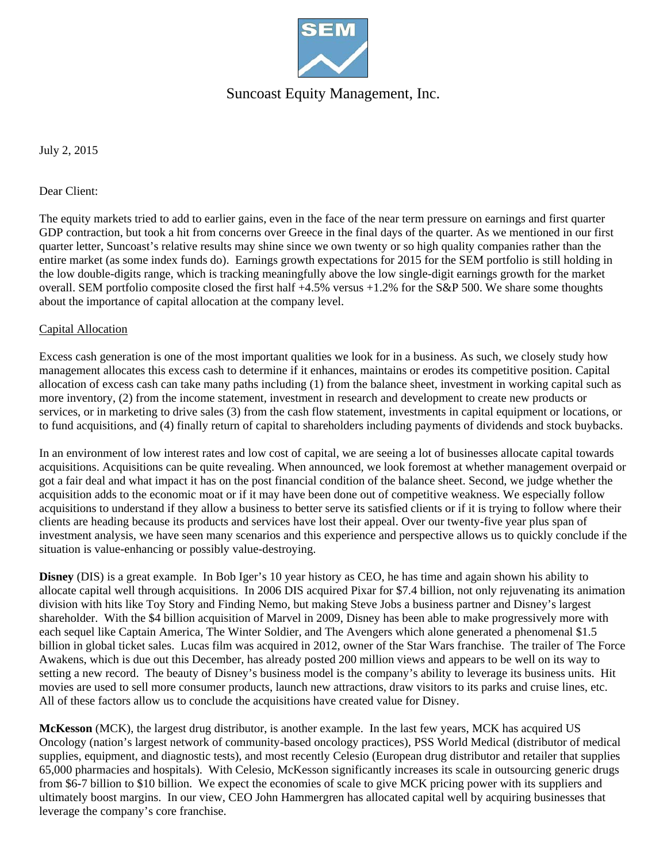

## Suncoast Equity Management, Inc.

July 2, 2015

#### Dear Client:

The equity markets tried to add to earlier gains, even in the face of the near term pressure on earnings and first quarter GDP contraction, but took a hit from concerns over Greece in the final days of the quarter. As we mentioned in our first quarter letter, Suncoast's relative results may shine since we own twenty or so high quality companies rather than the entire market (as some index funds do). Earnings growth expectations for 2015 for the SEM portfolio is still holding in the low double-digits range, which is tracking meaningfully above the low single-digit earnings growth for the market overall. SEM portfolio composite closed the first half +4.5% versus +1.2% for the S&P 500. We share some thoughts about the importance of capital allocation at the company level.

### Capital Allocation

Excess cash generation is one of the most important qualities we look for in a business. As such, we closely study how management allocates this excess cash to determine if it enhances, maintains or erodes its competitive position. Capital allocation of excess cash can take many paths including (1) from the balance sheet, investment in working capital such as more inventory, (2) from the income statement, investment in research and development to create new products or services, or in marketing to drive sales (3) from the cash flow statement, investments in capital equipment or locations, or to fund acquisitions, and (4) finally return of capital to shareholders including payments of dividends and stock buybacks.

In an environment of low interest rates and low cost of capital, we are seeing a lot of businesses allocate capital towards acquisitions. Acquisitions can be quite revealing. When announced, we look foremost at whether management overpaid or got a fair deal and what impact it has on the post financial condition of the balance sheet. Second, we judge whether the acquisition adds to the economic moat or if it may have been done out of competitive weakness. We especially follow acquisitions to understand if they allow a business to better serve its satisfied clients or if it is trying to follow where their clients are heading because its products and services have lost their appeal. Over our twenty-five year plus span of investment analysis, we have seen many scenarios and this experience and perspective allows us to quickly conclude if the situation is value-enhancing or possibly value-destroying.

**Disney** (DIS) is a great example. In Bob Iger's 10 year history as CEO, he has time and again shown his ability to allocate capital well through acquisitions. In 2006 DIS acquired Pixar for \$7.4 billion, not only rejuvenating its animation division with hits like Toy Story and Finding Nemo, but making Steve Jobs a business partner and Disney's largest shareholder. With the \$4 billion acquisition of Marvel in 2009, Disney has been able to make progressively more with each sequel like Captain America, The Winter Soldier, and The Avengers which alone generated a phenomenal \$1.5 billion in global ticket sales. Lucas film was acquired in 2012, owner of the Star Wars franchise. The trailer of The Force Awakens, which is due out this December, has already posted 200 million views and appears to be well on its way to setting a new record. The beauty of Disney's business model is the company's ability to leverage its business units. Hit movies are used to sell more consumer products, launch new attractions, draw visitors to its parks and cruise lines, etc. All of these factors allow us to conclude the acquisitions have created value for Disney.

**McKesson** (MCK), the largest drug distributor, is another example. In the last few years, MCK has acquired US Oncology (nation's largest network of community-based oncology practices), PSS World Medical (distributor of medical supplies, equipment, and diagnostic tests), and most recently Celesio (European drug distributor and retailer that supplies 65,000 pharmacies and hospitals). With Celesio, McKesson significantly increases its scale in outsourcing generic drugs from \$6-7 billion to \$10 billion. We expect the economies of scale to give MCK pricing power with its suppliers and ultimately boost margins. In our view, CEO John Hammergren has allocated capital well by acquiring businesses that leverage the company's core franchise.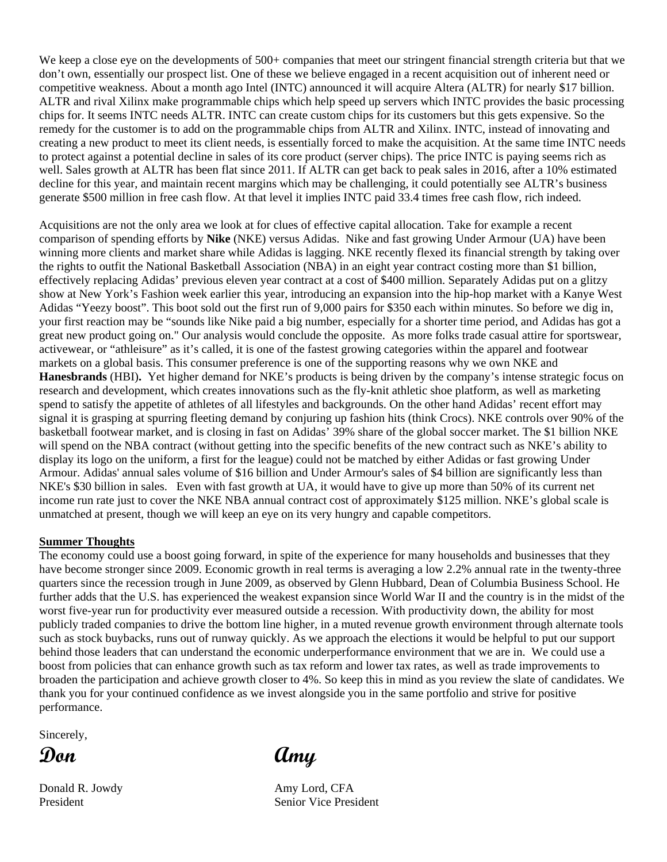We keep a close eye on the developments of 500+ companies that meet our stringent financial strength criteria but that we don't own, essentially our prospect list. One of these we believe engaged in a recent acquisition out of inherent need or competitive weakness. About a month ago Intel (INTC) announced it will acquire Altera (ALTR) for nearly \$17 billion. ALTR and rival Xilinx make programmable chips which help speed up servers which INTC provides the basic processing chips for. It seems INTC needs ALTR. INTC can create custom chips for its customers but this gets expensive. So the remedy for the customer is to add on the programmable chips from ALTR and Xilinx. INTC, instead of innovating and creating a new product to meet its client needs, is essentially forced to make the acquisition. At the same time INTC needs to protect against a potential decline in sales of its core product (server chips). The price INTC is paying seems rich as well. Sales growth at ALTR has been flat since 2011. If ALTR can get back to peak sales in 2016, after a 10% estimated decline for this year, and maintain recent margins which may be challenging, it could potentially see ALTR's business generate \$500 million in free cash flow. At that level it implies INTC paid 33.4 times free cash flow, rich indeed.

Acquisitions are not the only area we look at for clues of effective capital allocation. Take for example a recent comparison of spending efforts by **Nike** (NKE) versus Adidas. Nike and fast growing Under Armour (UA) have been winning more clients and market share while Adidas is lagging. NKE recently flexed its financial strength by taking over the rights to outfit the National Basketball Association (NBA) in an eight year contract costing more than \$1 billion, effectively replacing Adidas' previous eleven year contract at a cost of \$400 million. Separately Adidas put on a glitzy show at New York's Fashion week earlier this year, introducing an expansion into the hip-hop market with a Kanye West Adidas "Yeezy boost". This boot sold out the first run of 9,000 pairs for \$350 each within minutes. So before we dig in, your first reaction may be "sounds like Nike paid a big number, especially for a shorter time period, and Adidas has got a great new product going on." Our analysis would conclude the opposite. As more folks trade casual attire for sportswear, activewear, or "athleisure" as it's called, it is one of the fastest growing categories within the apparel and footwear markets on a global basis. This consumer preference is one of the supporting reasons why we own NKE and **Hanesbrands** (HBI)**.** Yet higher demand for NKE's products is being driven by the company's intense strategic focus on research and development, which creates innovations such as the fly-knit athletic shoe platform, as well as marketing spend to satisfy the appetite of athletes of all lifestyles and backgrounds. On the other hand Adidas' recent effort may signal it is grasping at spurring fleeting demand by conjuring up fashion hits (think Crocs). NKE controls over 90% of the basketball footwear market, and is closing in fast on Adidas' 39% share of the global soccer market. The \$1 billion NKE will spend on the NBA contract (without getting into the specific benefits of the new contract such as NKE's ability to display its logo on the uniform, a first for the league) could not be matched by either Adidas or fast growing Under Armour. Adidas' annual sales volume of \$16 billion and Under Armour's sales of \$4 billion are significantly less than NKE's \$30 billion in sales. Even with fast growth at UA, it would have to give up more than 50% of its current net income run rate just to cover the NKE NBA annual contract cost of approximately \$125 million. NKE's global scale is unmatched at present, though we will keep an eye on its very hungry and capable competitors.

#### **Summer Thoughts**

The economy could use a boost going forward, in spite of the experience for many households and businesses that they have become stronger since 2009. Economic growth in real terms is averaging a low 2.2% annual rate in the twenty-three quarters since the recession trough in June 2009, as observed by Glenn Hubbard, Dean of Columbia Business School. He further adds that the U.S. has experienced the weakest expansion since World War II and the country is in the midst of the worst five-year run for productivity ever measured outside a recession. With productivity down, the ability for most publicly traded companies to drive the bottom line higher, in a muted revenue growth environment through alternate tools such as stock buybacks, runs out of runway quickly. As we approach the elections it would be helpful to put our support behind those leaders that can understand the economic underperformance environment that we are in. We could use a boost from policies that can enhance growth such as tax reform and lower tax rates, as well as trade improvements to broaden the participation and achieve growth closer to 4%. So keep this in mind as you review the slate of candidates. We thank you for your continued confidence as we invest alongside you in the same portfolio and strive for positive performance.

Sincerely,



Donald R. Jowdy Amy Lord, CFA President Senior Vice President